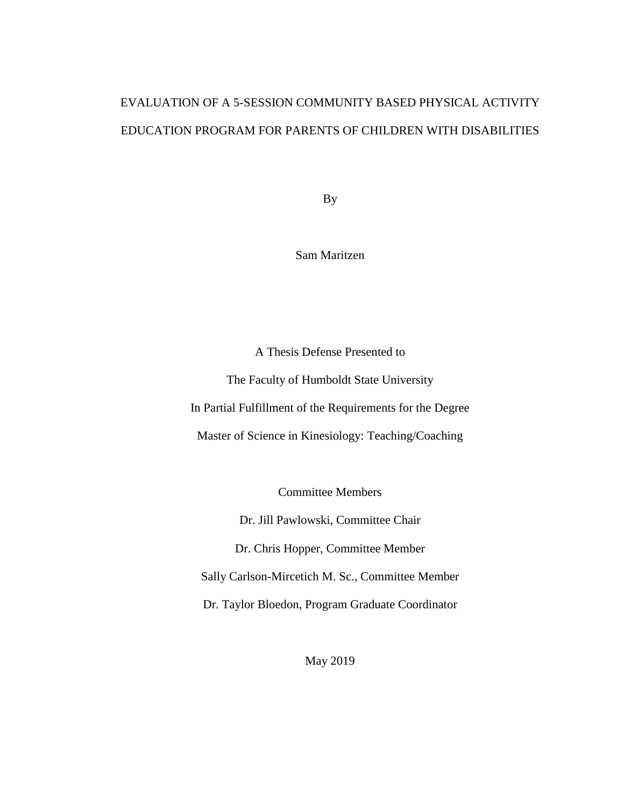# EVALUATION OF A 5-SESSION COMMUNITY BASED PHYSICAL ACTIVITY EDUCATION PROGRAM FOR PARENTS OF CHILDREN WITH DISABILITIES

By

Sam Maritzen

A Thesis Defense Presented to

The Faculty of Humboldt State University In Partial Fulfillment of the Requirements for the Degree Master of Science in Kinesiology: Teaching/Coaching

Committee Members

Dr. Jill Pawlowski, Committee Chair

Dr. Chris Hopper, Committee Member

Sally Carlson-Mircetich M. Sc., Committee Member

Dr. Taylor Bloedon, Program Graduate Coordinator

May 2019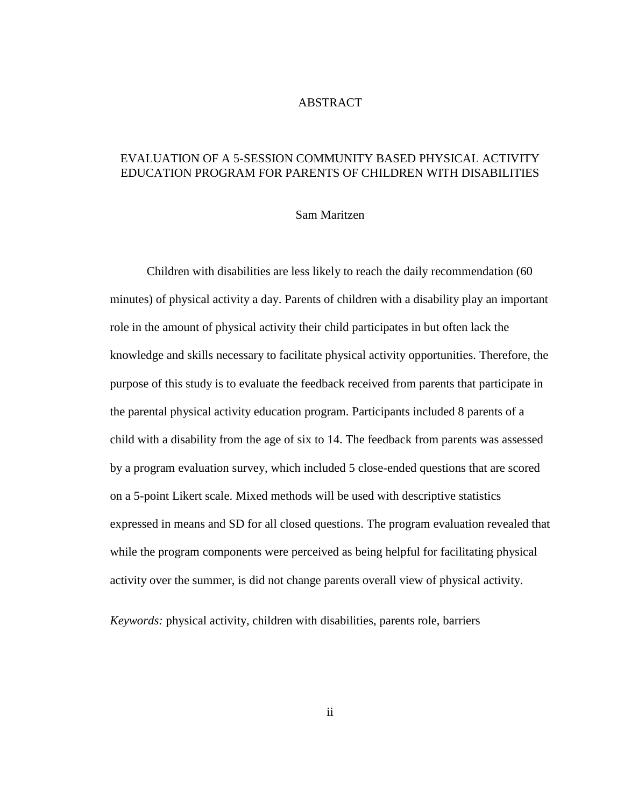## ABSTRACT

# EVALUATION OF A 5-SESSION COMMUNITY BASED PHYSICAL ACTIVITY EDUCATION PROGRAM FOR PARENTS OF CHILDREN WITH DISABILITIES

#### Sam Maritzen

Children with disabilities are less likely to reach the daily recommendation (60 minutes) of physical activity a day. Parents of children with a disability play an important role in the amount of physical activity their child participates in but often lack the knowledge and skills necessary to facilitate physical activity opportunities. Therefore, the purpose of this study is to evaluate the feedback received from parents that participate in the parental physical activity education program. Participants included 8 parents of a child with a disability from the age of six to 14. The feedback from parents was assessed by a program evaluation survey, which included 5 close-ended questions that are scored on a 5-point Likert scale. Mixed methods will be used with descriptive statistics expressed in means and SD for all closed questions. The program evaluation revealed that while the program components were perceived as being helpful for facilitating physical activity over the summer, is did not change parents overall view of physical activity.

*Keywords:* physical activity, children with disabilities, parents role, barriers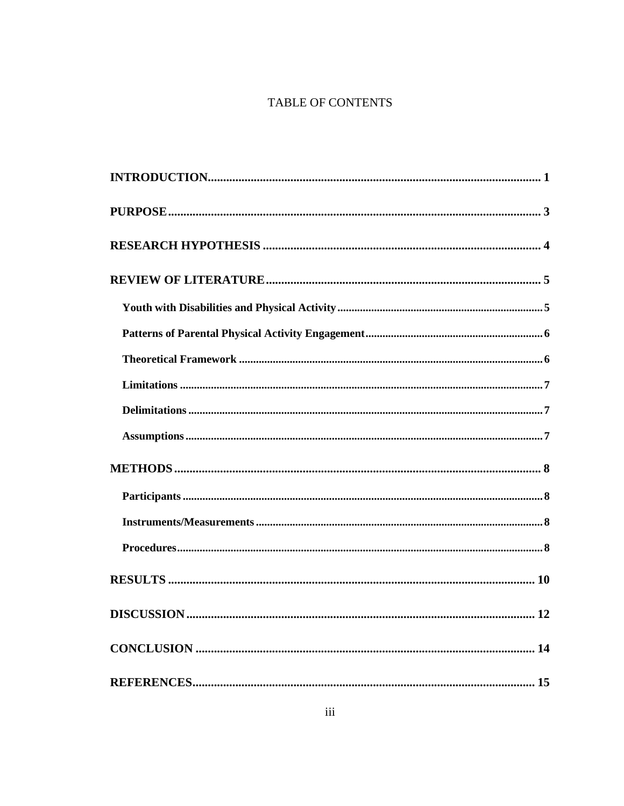# TABLE OF CONTENTS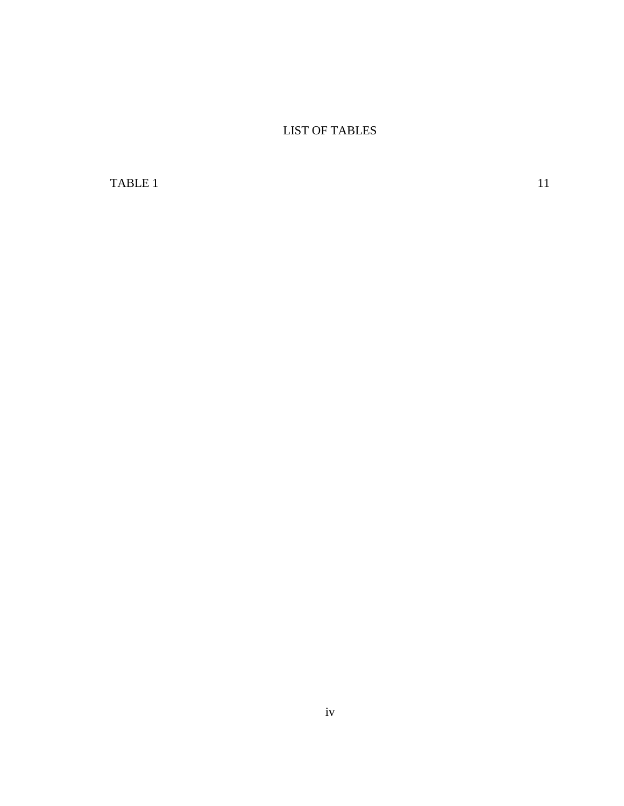LIST OF TABLES

[TABLE 1](#page-14-0) 11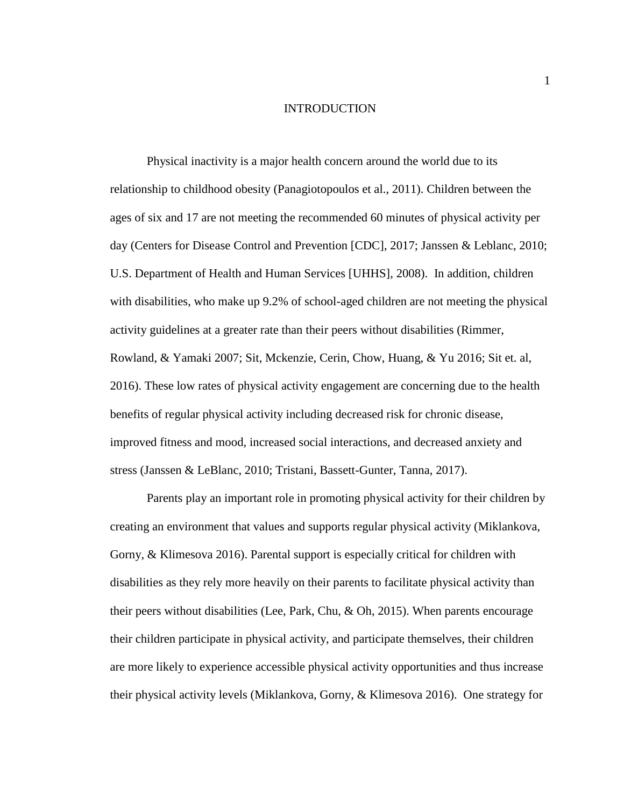### INTRODUCTION

<span id="page-4-0"></span>Physical inactivity is a major health concern around the world due to its relationship to childhood obesity (Panagiotopoulos et al., 2011). Children between the ages of six and 17 are not meeting the recommended 60 minutes of physical activity per day (Centers for Disease Control and Prevention [CDC], 2017; Janssen & Leblanc, 2010; U.S. Department of Health and Human Services [UHHS], 2008). In addition, children with disabilities, who make up 9.2% of school-aged children are not meeting the physical activity guidelines at a greater rate than their peers without disabilities (Rimmer, Rowland, & Yamaki 2007; Sit, Mckenzie, Cerin, Chow, Huang, & Yu 2016; Sit et. al, 2016). These low rates of physical activity engagement are concerning due to the health benefits of regular physical activity including decreased risk for chronic disease, improved fitness and mood, increased social interactions, and decreased anxiety and stress (Janssen & LeBlanc, 2010; Tristani, Bassett-Gunter, Tanna, 2017).

Parents play an important role in promoting physical activity for their children by creating an environment that values and supports regular physical activity (Miklankova, Gorny, & Klimesova 2016). Parental support is especially critical for children with disabilities as they rely more heavily on their parents to facilitate physical activity than their peers without disabilities (Lee, Park, Chu, & Oh, 2015). When parents encourage their children participate in physical activity, and participate themselves, their children are more likely to experience accessible physical activity opportunities and thus increase their physical activity levels (Miklankova, Gorny, & Klimesova 2016). One strategy for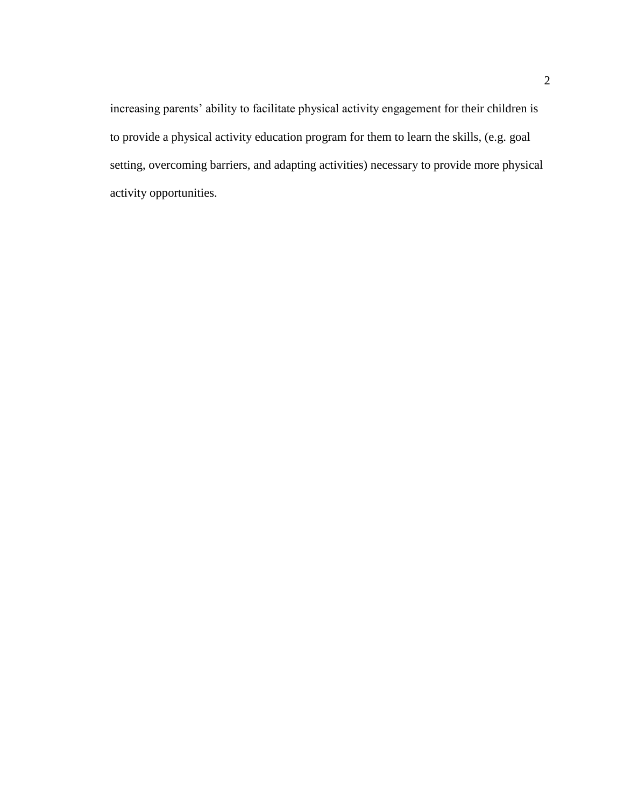increasing parents' ability to facilitate physical activity engagement for their children is to provide a physical activity education program for them to learn the skills, (e.g. goal setting, overcoming barriers, and adapting activities) necessary to provide more physical activity opportunities.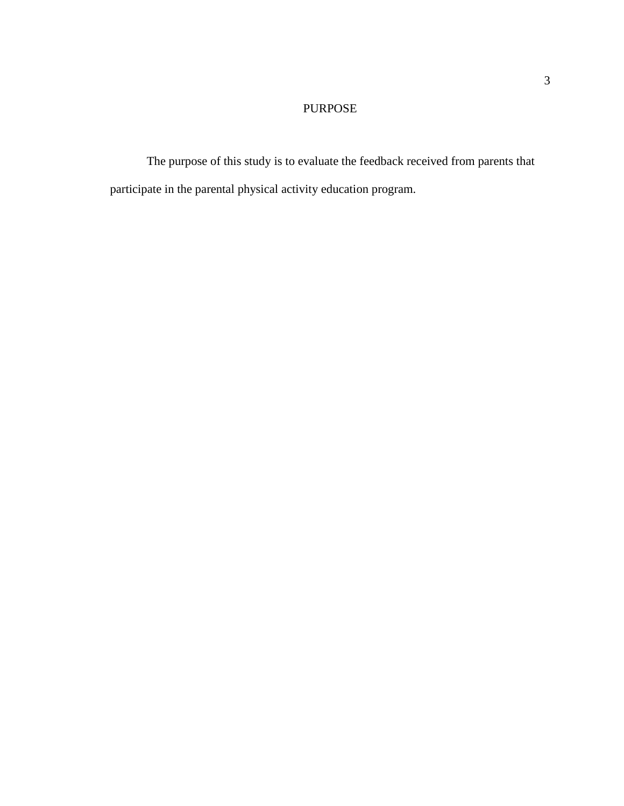# PURPOSE

<span id="page-6-0"></span>The purpose of this study is to evaluate the feedback received from parents that participate in the parental physical activity education program.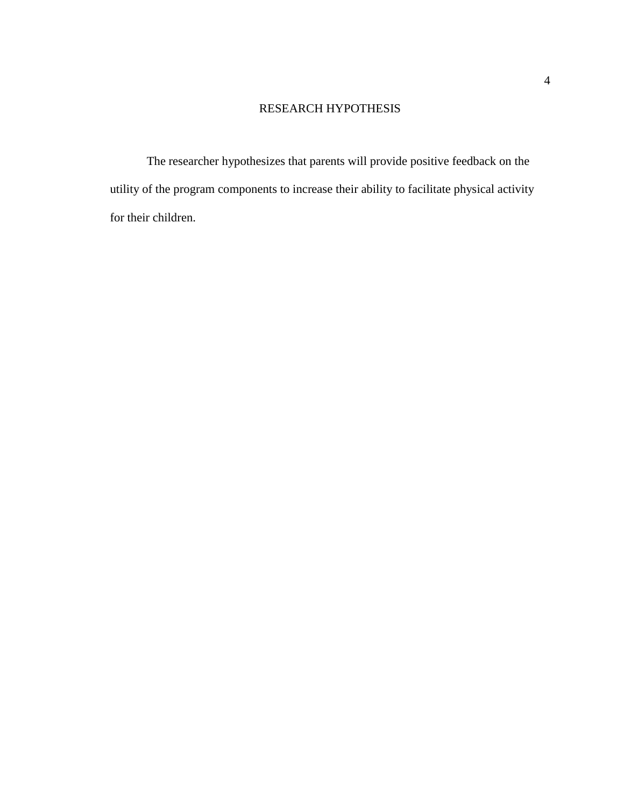# RESEARCH HYPOTHESIS

<span id="page-7-0"></span>The researcher hypothesizes that parents will provide positive feedback on the utility of the program components to increase their ability to facilitate physical activity for their children.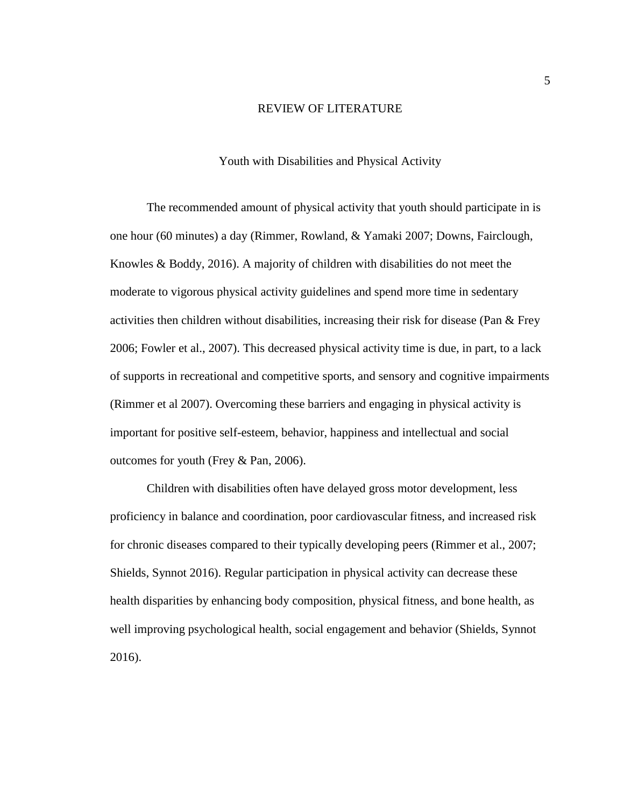#### REVIEW OF LITERATURE

## Youth with Disabilities and Physical Activity

<span id="page-8-1"></span><span id="page-8-0"></span>The recommended amount of physical activity that youth should participate in is one hour (60 minutes) a day (Rimmer, Rowland, & Yamaki 2007; Downs, Fairclough, Knowles & Boddy, 2016). A majority of children with disabilities do not meet the moderate to vigorous physical activity guidelines and spend more time in sedentary activities then children without disabilities, increasing their risk for disease (Pan & Frey 2006; Fowler et al., 2007). This decreased physical activity time is due, in part, to a lack of supports in recreational and competitive sports, and sensory and cognitive impairments (Rimmer et al 2007). Overcoming these barriers and engaging in physical activity is important for positive self-esteem, behavior, happiness and intellectual and social outcomes for youth (Frey & Pan, 2006).

Children with disabilities often have delayed gross motor development, less proficiency in balance and coordination, poor cardiovascular fitness, and increased risk for chronic diseases compared to their typically developing peers (Rimmer et al., 2007; Shields, Synnot 2016). Regular participation in physical activity can decrease these health disparities by enhancing body composition, physical fitness, and bone health, as well improving psychological health, social engagement and behavior (Shields, Synnot 2016).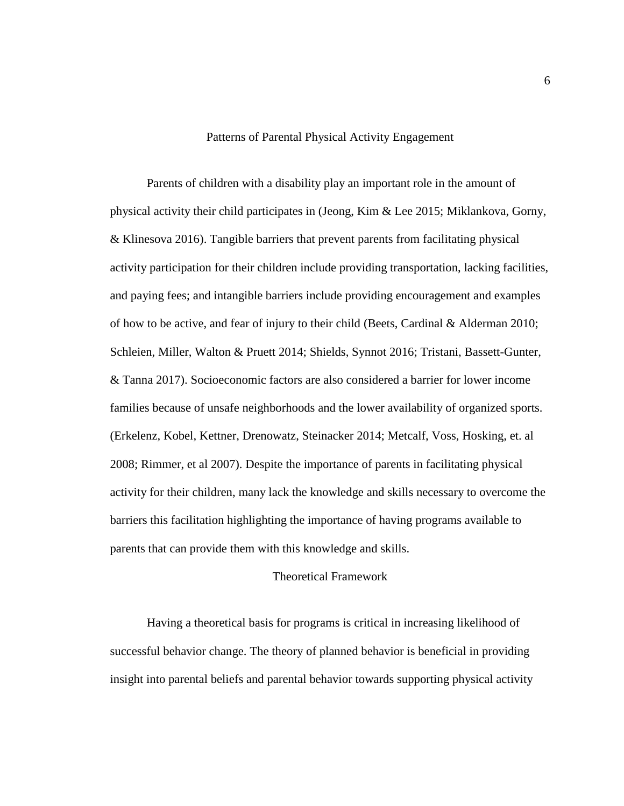## Patterns of Parental Physical Activity Engagement

<span id="page-9-0"></span>Parents of children with a disability play an important role in the amount of physical activity their child participates in (Jeong, Kim & Lee 2015; Miklankova, Gorny, & Klinesova 2016). Tangible barriers that prevent parents from facilitating physical activity participation for their children include providing transportation, lacking facilities, and paying fees; and intangible barriers include providing encouragement and examples of how to be active, and fear of injury to their child (Beets, Cardinal & Alderman 2010; Schleien, Miller, Walton & Pruett 2014; Shields, Synnot 2016; Tristani, Bassett-Gunter, & Tanna 2017). Socioeconomic factors are also considered a barrier for lower income families because of unsafe neighborhoods and the lower availability of organized sports. (Erkelenz, Kobel, Kettner, Drenowatz, Steinacker 2014; Metcalf, Voss, Hosking, et. al 2008; Rimmer, et al 2007). Despite the importance of parents in facilitating physical activity for their children, many lack the knowledge and skills necessary to overcome the barriers this facilitation highlighting the importance of having programs available to parents that can provide them with this knowledge and skills.

# Theoretical Framework

<span id="page-9-1"></span>Having a theoretical basis for programs is critical in increasing likelihood of successful behavior change. The theory of planned behavior is beneficial in providing insight into parental beliefs and parental behavior towards supporting physical activity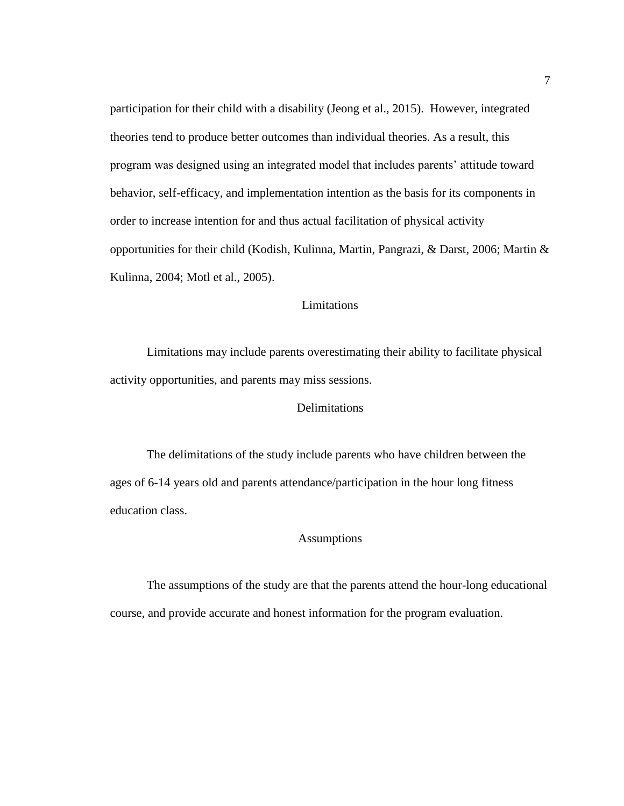participation for their child with a disability (Jeong et al., 2015). However, integrated theories tend to produce better outcomes than individual theories. As a result, this program was designed using an integrated model that includes parents' attitude toward behavior, self-efficacy, and implementation intention as the basis for its components in order to increase intention for and thus actual facilitation of physical activity opportunities for their child (Kodish, Kulinna, Martin, Pangrazi, & Darst, 2006; Martin & Kulinna, 2004; Motl et al., 2005).

# Limitations

<span id="page-10-0"></span>Limitations may include parents overestimating their ability to facilitate physical activity opportunities, and parents may miss sessions.

# Delimitations

<span id="page-10-1"></span>The delimitations of the study include parents who have children between the ages of 6-14 years old and parents attendance/participation in the hour long fitness education class.

# Assumptions

<span id="page-10-2"></span>The assumptions of the study are that the parents attend the hour-long educational course, and provide accurate and honest information for the program evaluation.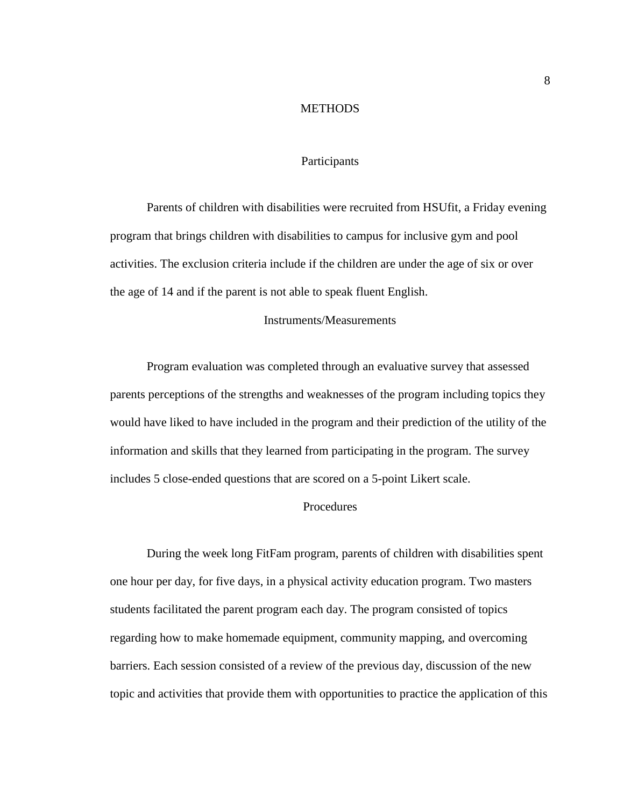#### **METHODS**

## Participants

<span id="page-11-1"></span><span id="page-11-0"></span>Parents of children with disabilities were recruited from HSUfit, a Friday evening program that brings children with disabilities to campus for inclusive gym and pool activities. The exclusion criteria include if the children are under the age of six or over the age of 14 and if the parent is not able to speak fluent English.

## Instruments/Measurements

<span id="page-11-2"></span>Program evaluation was completed through an evaluative survey that assessed parents perceptions of the strengths and weaknesses of the program including topics they would have liked to have included in the program and their prediction of the utility of the information and skills that they learned from participating in the program. The survey includes 5 close-ended questions that are scored on a 5-point Likert scale.

# **Procedures**

<span id="page-11-3"></span>During the week long FitFam program, parents of children with disabilities spent one hour per day, for five days, in a physical activity education program. Two masters students facilitated the parent program each day. The program consisted of topics regarding how to make homemade equipment, community mapping, and overcoming barriers. Each session consisted of a review of the previous day, discussion of the new topic and activities that provide them with opportunities to practice the application of this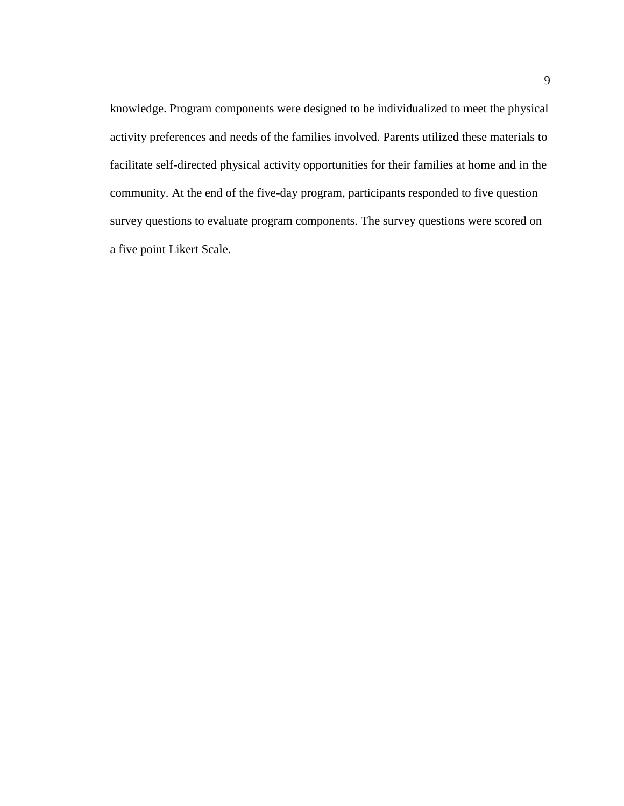knowledge. Program components were designed to be individualized to meet the physical activity preferences and needs of the families involved. Parents utilized these materials to facilitate self-directed physical activity opportunities for their families at home and in the community. At the end of the five-day program, participants responded to five question survey questions to evaluate program components. The survey questions were scored on a five point Likert Scale.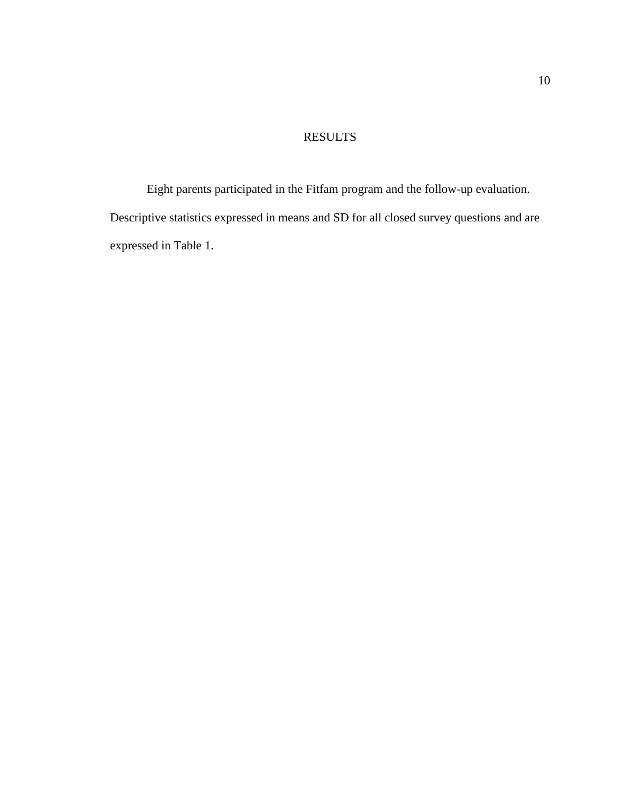# RESULTS

<span id="page-13-0"></span>Eight parents participated in the Fitfam program and the follow-up evaluation. Descriptive statistics expressed in means and SD for all closed survey questions and are expressed in Table 1.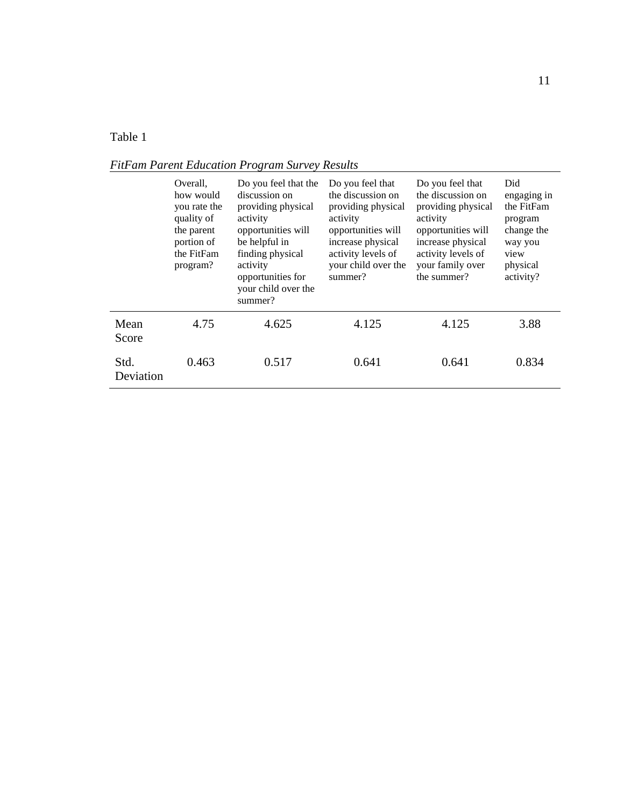# <span id="page-14-0"></span>Table 1

|                   | Overall,<br>how would<br>you rate the<br>quality of<br>the parent<br>portion of<br>the FitFam<br>program? | Do you feel that the<br>discussion on<br>providing physical<br>activity<br>opportunities will<br>be helpful in<br>finding physical<br>activity<br>opportunities for<br>your child over the<br>summer? | Do you feel that<br>the discussion on<br>providing physical<br>activity<br>opportunities will<br>increase physical<br>activity levels of<br>your child over the<br>summer? | Do you feel that<br>the discussion on<br>providing physical<br>activity<br>opportunities will<br>increase physical<br>activity levels of<br>your family over<br>the summer? | Did<br>engaging in<br>the FitFam<br>program<br>change the<br>way you<br>view<br>physical<br>activity? |
|-------------------|-----------------------------------------------------------------------------------------------------------|-------------------------------------------------------------------------------------------------------------------------------------------------------------------------------------------------------|----------------------------------------------------------------------------------------------------------------------------------------------------------------------------|-----------------------------------------------------------------------------------------------------------------------------------------------------------------------------|-------------------------------------------------------------------------------------------------------|
| Mean<br>Score     | 4.75                                                                                                      | 4.625                                                                                                                                                                                                 | 4.125                                                                                                                                                                      | 4.125                                                                                                                                                                       | 3.88                                                                                                  |
| Std.<br>Deviation | 0.463                                                                                                     | 0.517                                                                                                                                                                                                 | 0.641                                                                                                                                                                      | 0.641                                                                                                                                                                       | 0.834                                                                                                 |

*FitFam Parent Education Program Survey Results*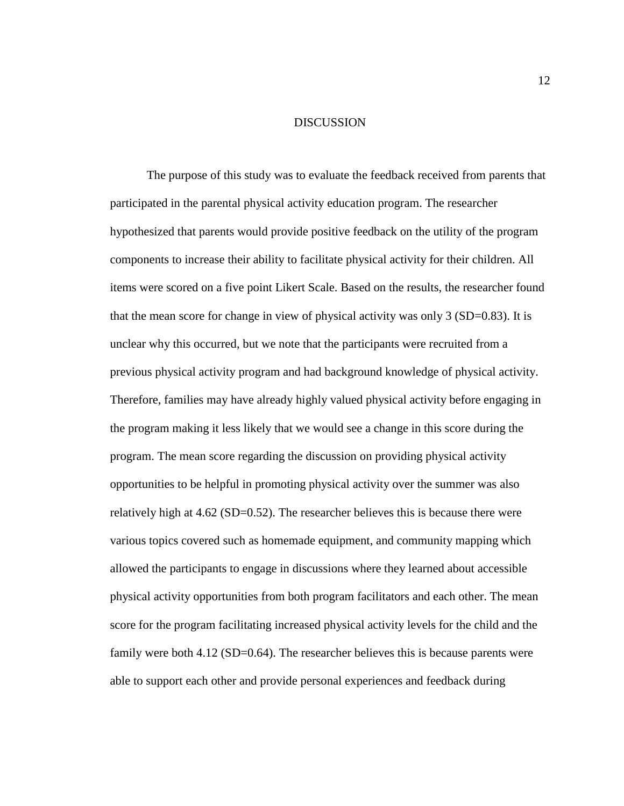## DISCUSSION

<span id="page-15-0"></span>The purpose of this study was to evaluate the feedback received from parents that participated in the parental physical activity education program. The researcher hypothesized that parents would provide positive feedback on the utility of the program components to increase their ability to facilitate physical activity for their children. All items were scored on a five point Likert Scale. Based on the results, the researcher found that the mean score for change in view of physical activity was only 3 (SD=0.83). It is unclear why this occurred, but we note that the participants were recruited from a previous physical activity program and had background knowledge of physical activity. Therefore, families may have already highly valued physical activity before engaging in the program making it less likely that we would see a change in this score during the program. The mean score regarding the discussion on providing physical activity opportunities to be helpful in promoting physical activity over the summer was also relatively high at 4.62 (SD=0.52). The researcher believes this is because there were various topics covered such as homemade equipment, and community mapping which allowed the participants to engage in discussions where they learned about accessible physical activity opportunities from both program facilitators and each other. The mean score for the program facilitating increased physical activity levels for the child and the family were both 4.12 (SD=0.64). The researcher believes this is because parents were able to support each other and provide personal experiences and feedback during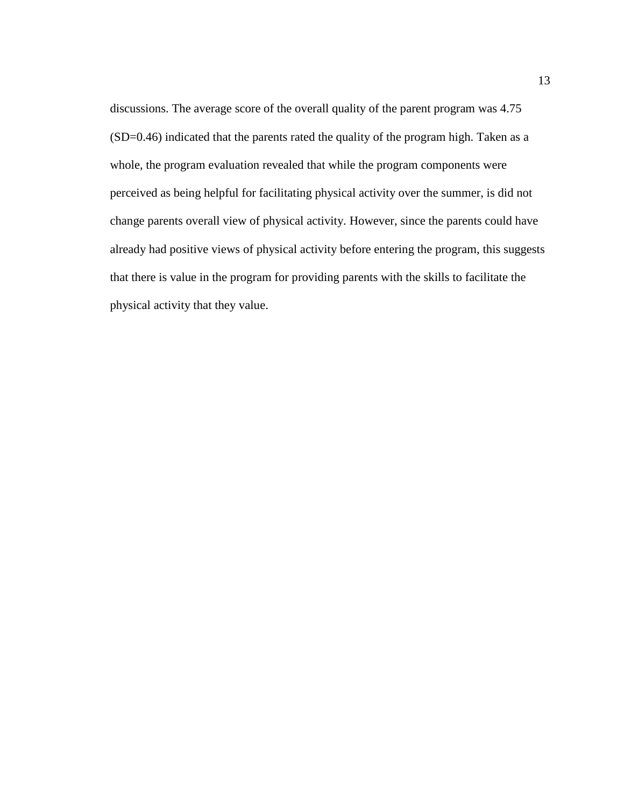discussions. The average score of the overall quality of the parent program was 4.75 (SD=0.46) indicated that the parents rated the quality of the program high. Taken as a whole, the program evaluation revealed that while the program components were perceived as being helpful for facilitating physical activity over the summer, is did not change parents overall view of physical activity. However, since the parents could have already had positive views of physical activity before entering the program, this suggests that there is value in the program for providing parents with the skills to facilitate the physical activity that they value.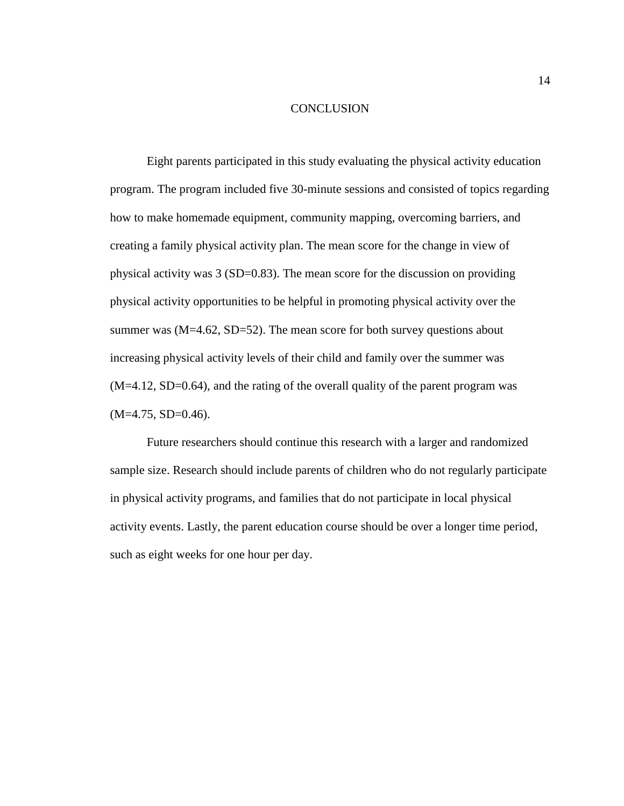#### **CONCLUSION**

<span id="page-17-0"></span>Eight parents participated in this study evaluating the physical activity education program. The program included five 30-minute sessions and consisted of topics regarding how to make homemade equipment, community mapping, overcoming barriers, and creating a family physical activity plan. The mean score for the change in view of physical activity was 3 (SD=0.83). The mean score for the discussion on providing physical activity opportunities to be helpful in promoting physical activity over the summer was  $(M=4.62, SD=52)$ . The mean score for both survey questions about increasing physical activity levels of their child and family over the summer was (M=4.12, SD=0.64), and the rating of the overall quality of the parent program was  $(M=4.75, SD=0.46)$ .

Future researchers should continue this research with a larger and randomized sample size. Research should include parents of children who do not regularly participate in physical activity programs, and families that do not participate in local physical activity events. Lastly, the parent education course should be over a longer time period, such as eight weeks for one hour per day.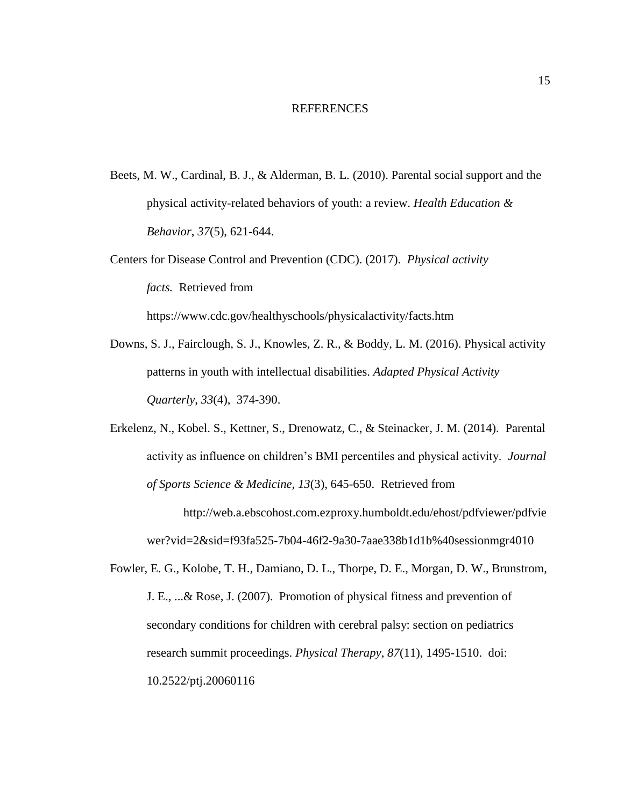#### REFERENCES

<span id="page-18-0"></span>Beets, M. W., Cardinal, B. J., & Alderman, B. L. (2010). Parental social support and the physical activity-related behaviors of youth: a review. *Health Education & Behavior*, *37*(5), 621-644.

Centers for Disease Control and Prevention (CDC). (2017). *Physical activity facts.* Retrieved from <https://www.cdc.gov/healthyschools/physicalactivity/facts.htm>

- Downs, S. J., Fairclough, S. J., Knowles, Z. R., & Boddy, L. M. (2016). Physical activity patterns in youth with intellectual disabilities. *Adapted Physical Activity Quarterly*, *33*(4), 374-390.
- Erkelenz, N., Kobel. S., Kettner, S., Drenowatz, C., & Steinacker, J. M. (2014). Parental activity as influence on children's BMI percentiles and physical activity. *Journal of Sports Science & Medicine, 13*(3), 645-650. Retrieved from

[http://web.a.ebscohost.com.ezproxy.humboldt.edu/ehost/pdfviewer/pdfvie](http://web.a.ebscohost.com.ezproxy.humboldt.edu/ehost/pdfviewer/pdfviewer?vid=2&sid) [wer?vid=2&sid=](http://web.a.ebscohost.com.ezproxy.humboldt.edu/ehost/pdfviewer/pdfviewer?vid=2&sid)f93fa525-7b04-46f2-9a30-7aae338b1d1b%40sessionmgr4010

Fowler, E. G., Kolobe, T. H., Damiano, D. L., Thorpe, D. E., Morgan, D. W., Brunstrom, J. E., ...& Rose, J. (2007). Promotion of physical fitness and prevention of secondary conditions for children with cerebral palsy: section on pediatrics research summit proceedings. *Physical Therapy*, *87*(11), 1495-1510. doi: 10.2522/ptj.20060116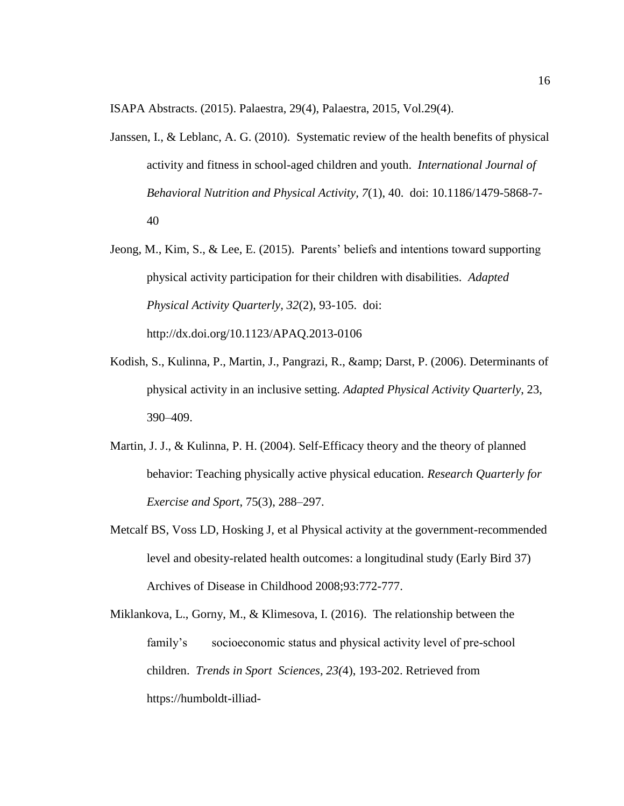ISAPA Abstracts. (2015). Palaestra, 29(4), Palaestra, 2015, Vol.29(4).

- Janssen, I., & Leblanc, A. G. (2010). Systematic review of the health benefits of physical activity and fitness in school-aged children and youth. *International Journal of Behavioral Nutrition and Physical Activity, 7*(1), 40. doi: 10.1186/1479-5868-7- 40
- Jeong, M., Kim, S., & Lee, E. (2015). Parents' beliefs and intentions toward supporting physical activity participation for their children with disabilities. *Adapted Physical Activity Quarterly, 32*(2), 93-105. doi[:](http://dx.doi.org/10.1123/APAQ.2013-0106) <http://dx.doi.org/10.1123/APAQ.2013-0106>
- Kodish, S., Kulinna, P., Martin, J., Pangrazi, R., & amp; Darst, P. (2006). Determinants of physical activity in an inclusive setting. *Adapted Physical Activity Quarterly*, 23, 390–409.
- Martin, J. J., & Kulinna, P. H. (2004). Self-Efficacy theory and the theory of planned behavior: Teaching physically active physical education. *Research Quarterly for Exercise and Sport*, 75(3), 288–297.
- Metcalf BS, Voss LD, Hosking J, et al Physical activity at the government-recommended level and obesity-related health outcomes: a longitudinal study (Early Bird 37) Archives of Disease in Childhood 2008;93:772-777.
- Miklankova, L., Gorny, M., & Klimesova, I. (2016). The relationship between the family's socioeconomic status and physical activity level of pre-school children. *Trends in Sport Sciences, 23(*4), 193-202. Retrieved from https://humboldt-illiad-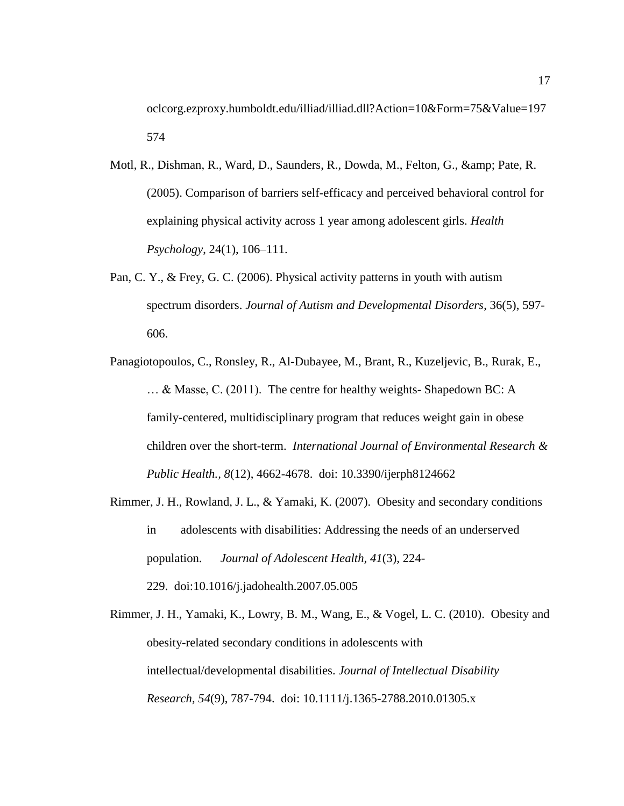oclcorg.ezproxy.humboldt.edu/illiad/illiad.dll?Action=10&Form=75&Value=197 574

- Motl, R., Dishman, R., Ward, D., Saunders, R., Dowda, M., Felton, G., & amp; Pate, R. (2005). Comparison of barriers self-efficacy and perceived behavioral control for explaining physical activity across 1 year among adolescent girls. *Health Psychology*, 24(1), 106–111.
- Pan, C. Y., & Frey, G. C. (2006). Physical activity patterns in youth with autism spectrum disorders. *Journal of Autism and Developmental Disorders*, 36(5), 597- 606.
- Panagiotopoulos, C., Ronsley, R., Al-Dubayee, M., Brant, R., Kuzeljevic, B., Rurak, E., … & Masse, C. (2011). The centre for healthy weights- Shapedown BC: A family-centered, multidisciplinary program that reduces weight gain in obese children over the short-term. *International Journal of Environmental Research & Public Health., 8*(12), 4662-4678. doi: 10.3390/ijerph8124662
- Rimmer, J. H., Rowland, J. L., & Yamaki, K. (2007). Obesity and secondary conditions in adolescents with disabilities: Addressing the needs of an underserved population. *Journal of Adolescent Health, 41*(3), 224- 229. doi:10.1016/j.jadohealth.2007.05.005
- Rimmer, J. H., Yamaki, K., Lowry, B. M., Wang, E., & Vogel, L. C. (2010). Obesity and obesity-related secondary conditions in adolescents with intellectual/developmental disabilities. *Journal of Intellectual Disability Research, 54*(9), 787-794. doi: 10.1111/j.1365-2788.2010.01305.x